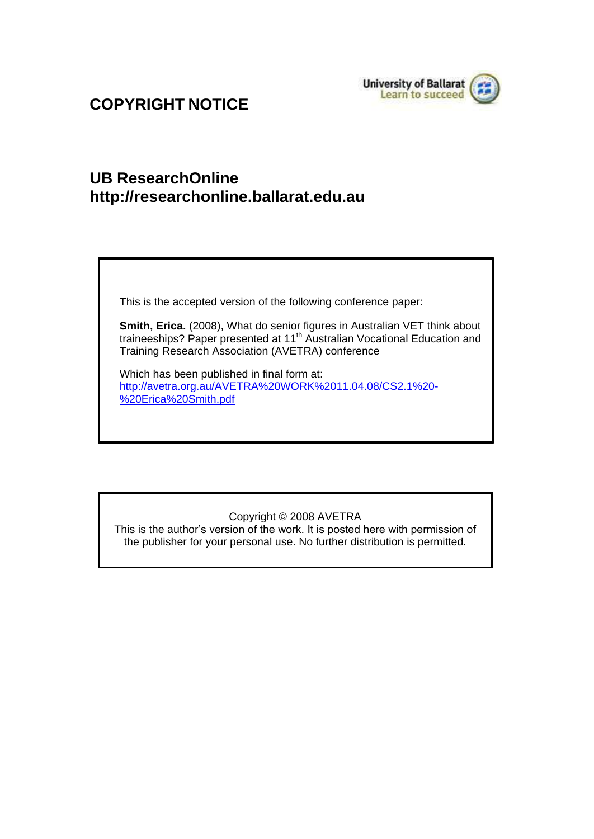

## **COPYRIGHT NOTICE**

## **UB ResearchOnlin[e](http://researchonline.ballarat.edu.au/) [http://researchonline.ballarat.edu.au](http://researchonline.ballarat.edu.au/)**

This is the accepted version of the following conference paper:

**Smith, Erica.** (2008), What do senior figures in Australian VET think about traineeships? Paper presented at 11<sup>th</sup> Australian Vocational Education and Training Research Association (AVETRA) conference

Which has been published in final form at: [http://avetra.org.au/AVETRA%20WORK%2011.04.08/CS2.1%20-](http://avetra.org.au/AVETRA%20WORK%2011.04.08/CS2.1%20-%20Erica%20Smith.pdf) [%20Erica%20Smith.pdf](http://avetra.org.au/AVETRA%20WORK%2011.04.08/CS2.1%20-%20Erica%20Smith.pdf)

### Copyright © 2008 AVETRA

This is the author's version of the work. It is posted here with permission of the publisher for your personal use. No further distribution is permitted.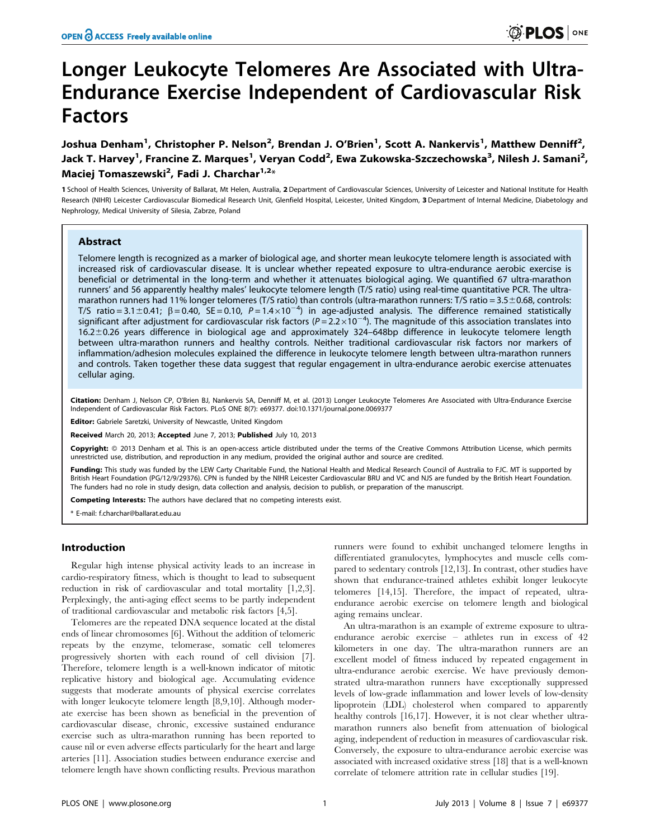# Longer Leukocyte Telomeres Are Associated with Ultra-Endurance Exercise Independent of Cardiovascular Risk Factors

Joshua Denham<sup>1</sup>, Christopher P. Nelson<sup>2</sup>, Brendan J. O'Brien<sup>1</sup>, Scott A. Nankervis<sup>1</sup>, Matthew Denniff<sup>2</sup>, Jack T. Harvey<sup>1</sup>, Francine Z. Marques<sup>1</sup>, Veryan Codd<sup>2</sup>, Ewa Zukowska-Szczechowska<sup>3</sup>, Nilesh J. Samani<sup>2</sup>, Maciej Tomaszewski<sup>2</sup>, Fadi J. Charchar<sup>1,2</sup>\*

1 School of Health Sciences, University of Ballarat, Mt Helen, Australia, 2 Department of Cardiovascular Sciences, University of Leicester and National Institute for Health Research (NIHR) Leicester Cardiovascular Biomedical Research Unit, Glenfield Hospital, Leicester, United Kingdom, 3Department of Internal Medicine, Diabetology and Nephrology, Medical University of Silesia, Zabrze, Poland

#### Abstract

Telomere length is recognized as a marker of biological age, and shorter mean leukocyte telomere length is associated with increased risk of cardiovascular disease. It is unclear whether repeated exposure to ultra-endurance aerobic exercise is beneficial or detrimental in the long-term and whether it attenuates biological aging. We quantified 67 ultra-marathon runners' and 56 apparently healthy males' leukocyte telomere length (T/S ratio) using real-time quantitative PCR. The ultramarathon runners had 11% longer telomeres (T/S ratio) than controls (ultra-marathon runners: T/S ratio =  $3.5\pm0.68$ , controls: T/S ratio = 3.1  $\pm$  0.41;  $\beta$  = 0.40, SE = 0.10, P = 1.4 $\times$ 10<sup>-4</sup>) in age-adjusted analysis. The difference remained statistically significant after adjustment for cardiovascular risk factors ( $P = 2.2 \times 10^{-4}$ ). The magnitude of this association translates into  $16.2\pm0.26$  years difference in biological age and approximately 324–648bp difference in leukocyte telomere length between ultra-marathon runners and healthy controls. Neither traditional cardiovascular risk factors nor markers of inflammation/adhesion molecules explained the difference in leukocyte telomere length between ultra-marathon runners and controls. Taken together these data suggest that regular engagement in ultra-endurance aerobic exercise attenuates cellular aging.

Citation: Denham J, Nelson CP, O'Brien BJ, Nankervis SA, Denniff M, et al. (2013) Longer Leukocyte Telomeres Are Associated with Ultra-Endurance Exercise Independent of Cardiovascular Risk Factors. PLoS ONE 8(7): e69377. doi:10.1371/journal.pone.0069377

Editor: Gabriele Saretzki, University of Newcastle, United Kingdom

Received March 20, 2013; Accepted June 7, 2013; Published July 10, 2013

**Copyright:** © 2013 Denham et al. This is an open-access article distributed under the terms of the Creative Commons Attribution License, which permits unrestricted use, distribution, and reproduction in any medium, provided the original author and source are credited.

Funding: This study was funded by the LEW Carty Charitable Fund, the National Health and Medical Research Council of Australia to FJC. MT is supported by British Heart Foundation (PG/12/9/29376). CPN is funded by the NIHR Leicester Cardiovascular BRU and VC and NJS are funded by the British Heart Foundation. The funders had no role in study design, data collection and analysis, decision to publish, or preparation of the manuscript.

Competing Interests: The authors have declared that no competing interests exist.

\* E-mail: f.charchar@ballarat.edu.au

#### Introduction

Regular high intense physical activity leads to an increase in cardio-respiratory fitness, which is thought to lead to subsequent reduction in risk of cardiovascular and total mortality [1,2,3]. Perplexingly, the anti-aging effect seems to be partly independent of traditional cardiovascular and metabolic risk factors [4,5].

Telomeres are the repeated DNA sequence located at the distal ends of linear chromosomes [6]. Without the addition of telomeric repeats by the enzyme, telomerase, somatic cell telomeres progressively shorten with each round of cell division [7]. Therefore, telomere length is a well-known indicator of mitotic replicative history and biological age. Accumulating evidence suggests that moderate amounts of physical exercise correlates with longer leukocyte telomere length [8,9,10]. Although moderate exercise has been shown as beneficial in the prevention of cardiovascular disease, chronic, excessive sustained endurance exercise such as ultra-marathon running has been reported to cause nil or even adverse effects particularly for the heart and large arteries [11]. Association studies between endurance exercise and telomere length have shown conflicting results. Previous marathon

runners were found to exhibit unchanged telomere lengths in differentiated granulocytes, lymphocytes and muscle cells compared to sedentary controls [12,13]. In contrast, other studies have shown that endurance-trained athletes exhibit longer leukocyte telomeres [14,15]. Therefore, the impact of repeated, ultraendurance aerobic exercise on telomere length and biological aging remains unclear.

An ultra-marathon is an example of extreme exposure to ultraendurance aerobic exercise – athletes run in excess of 42 kilometers in one day. The ultra-marathon runners are an excellent model of fitness induced by repeated engagement in ultra-endurance aerobic exercise. We have previously demonstrated ultra-marathon runners have exceptionally suppressed levels of low-grade inflammation and lower levels of low-density lipoprotein (LDL) cholesterol when compared to apparently healthy controls [16,17]. However, it is not clear whether ultramarathon runners also benefit from attenuation of biological aging, independent of reduction in measures of cardiovascular risk. Conversely, the exposure to ultra-endurance aerobic exercise was associated with increased oxidative stress [18] that is a well-known correlate of telomere attrition rate in cellular studies [19].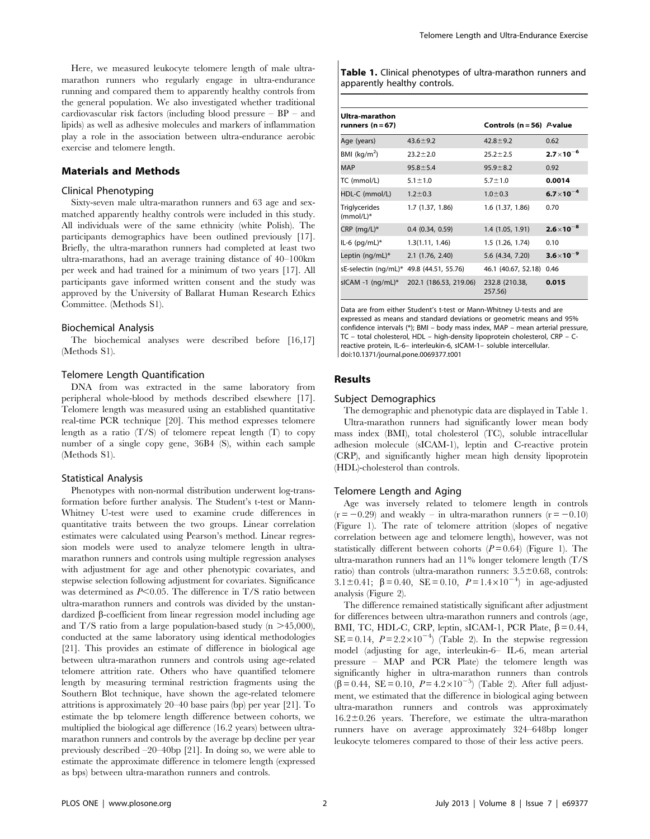Here, we measured leukocyte telomere length of male ultramarathon runners who regularly engage in ultra-endurance running and compared them to apparently healthy controls from the general population. We also investigated whether traditional cardiovascular risk factors (including blood pressure – BP – and lipids) as well as adhesive molecules and markers of inflammation play a role in the association between ultra-endurance aerobic exercise and telomere length.

#### Materials and Methods

#### Clinical Phenotyping

Sixty-seven male ultra-marathon runners and 63 age and sexmatched apparently healthy controls were included in this study. All individuals were of the same ethnicity (white Polish). The participants demographics have been outlined previously [17]. Briefly, the ultra-marathon runners had completed at least two ultra-marathons, had an average training distance of 40–100km per week and had trained for a minimum of two years [17]. All participants gave informed written consent and the study was approved by the University of Ballarat Human Research Ethics Committee. (Methods S1).

#### Biochemical Analysis

The biochemical analyses were described before [16,17] (Methods S1).

#### Telomere Length Quantification

DNA from was extracted in the same laboratory from peripheral whole-blood by methods described elsewhere [17]. Telomere length was measured using an established quantitative real-time PCR technique [20]. This method expresses telomere length as a ratio  $(T/S)$  of telomere repeat length  $(T)$  to copy number of a single copy gene, 36B4 (S), within each sample (Methods S1).

#### Statistical Analysis

Phenotypes with non-normal distribution underwent log-transformation before further analysis. The Student's t-test or Mann-Whitney U-test were used to examine crude differences in quantitative traits between the two groups. Linear correlation estimates were calculated using Pearson's method. Linear regression models were used to analyze telomere length in ultramarathon runners and controls using multiple regression analyses with adjustment for age and other phenotypic covariates, and stepwise selection following adjustment for covariates. Significance was determined as  $P<0.05$ . The difference in T/S ratio between ultra-marathon runners and controls was divided by the unstandardized β-coefficient from linear regression model including age and T/S ratio from a large population-based study ( $n > 45,000$ ), conducted at the same laboratory using identical methodologies [21]. This provides an estimate of difference in biological age between ultra-marathon runners and controls using age-related telomere attrition rate. Others who have quantified telomere length by measuring terminal restriction fragments using the Southern Blot technique, have shown the age-related telomere attritions is approximately 20–40 base pairs (bp) per year [21]. To estimate the bp telomere length difference between cohorts, we multiplied the biological age difference (16.2 years) between ultramarathon runners and controls by the average bp decline per year previously described –20–40bp [21]. In doing so, we were able to estimate the approximate difference in telomere length (expressed as bps) between ultra-marathon runners and controls.

Table 1. Clinical phenotypes of ultra-marathon runners and apparently healthy controls.

| Ultra-marathon<br>runners $(n=67)$       |                        | Controls ( $n = 56$ ) <i>P</i> -value |                      |
|------------------------------------------|------------------------|---------------------------------------|----------------------|
| Age (years)                              | $43.6 \pm 9.2$         | $42.8 \pm 9.2$                        | 0.62                 |
| BMI $(kq/m2)$                            | $23.2 \pm 2.0$         | $25.2 + 2.5$                          | $2.7 \times 10^{-6}$ |
| <b>MAP</b>                               | $95.8 \pm 5.4$         | $95.9 \pm 8.2$                        | 0.92                 |
| TC (mmol/L)                              | $5.1 \pm 1.0$          | $5.7 \pm 1.0$                         | 0.0014               |
| HDL-C (mmol/L)                           | $1.2 \pm 0.3$          | $1.0 \pm 0.3$                         | $6.7 \times 10^{-4}$ |
| <b>Triglycerides</b><br>$(mmol/L)^*$     | 1.7 (1.37, 1.86)       | 1.6 (1.37, 1.86)                      | 0.70                 |
| CRP $(mq/L)^*$                           | $0.4$ $(0.34, 0.59)$   | 1.4 (1.05, 1.91)                      | $2.6 \times 10^{-8}$ |
| IL-6 $(pq/mL)*$                          | 1.3(1.11, 1.46)        | 1.5 (1.26, 1.74)                      | 0.10                 |
| Leptin $(nq/mL)^*$                       | 2.1 (1.76, 2.40)       | 5.6 (4.34, 7.20)                      | $3.6 \times 10^{-9}$ |
| sE-selectin (ng/mL)* 49.8 (44.51, 55.76) |                        | 46.1 (40.67, 52.18)                   | 0.46                 |
| sICAM -1 $(nq/mL)^*$                     | 202.1 (186.53, 219.06) | 232.8 (210.38,<br>257.56)             | 0.015                |

Data are from either Student's t-test or Mann-Whitney U-tests and are expressed as means and standard deviations or geometric means and 95% confidence intervals (\*); BMI – body mass index, MAP – mean arterial pressure, TC – total cholesterol, HDL – high-density lipoprotein cholesterol, CRP – Creactive protein, IL-6– interleukin-6, sICAM-1– soluble intercellular. doi:10.1371/journal.pone.0069377.t001

#### Results

#### Subject Demographics

The demographic and phenotypic data are displayed in Table 1. Ultra-marathon runners had significantly lower mean body mass index (BMI), total cholesterol (TC), soluble intracellular adhesion molecule (sICAM-1), leptin and C-reactive protein (CRP), and significantly higher mean high density lipoprotein (HDL)-cholesterol than controls.

#### Telomere Length and Aging

Age was inversely related to telomere length in controls  $(r = -0.29)$  and weakly – in ultra-marathon runners  $(r = -0.10)$ (Figure 1). The rate of telomere attrition (slopes of negative correlation between age and telomere length), however, was not statistically different between cohorts  $(P=0.64)$  (Figure 1). The ultra-marathon runners had an 11% longer telomere length (T/S ratio) than controls (ultra-marathon runners:  $3.5 \pm 0.68$ , controls: 3.1±0.41;  $\beta = 0.40$ , SE = 0.10,  $P = 1.4 \times 10^{-4}$  in age-adjusted analysis (Figure 2).

The difference remained statistically significant after adjustment for differences between ultra-marathon runners and controls (age, BMI, TC, HDL-C, CRP, leptin, sICAM-1, PCR Plate,  $\beta = 0.44$ ,  $SE = 0.14$ ,  $P = 2.2 \times 10^{-4}$  (Table 2). In the stepwise regression model (adjusting for age, interleukin-6– IL-6, mean arterial pressure – MAP and PCR Plate) the telomere length was significantly higher in ultra-marathon runners than controls  $(\overline{\beta} = 0.44, \overline{SE} = 0.10, P = 4.2 \times 10^{-5})$  (Table 2). After full adjustment, we estimated that the difference in biological aging between ultra-marathon runners and controls was approximately  $16.2 \pm 0.26$  years. Therefore, we estimate the ultra-marathon runners have on average approximately 324–648bp longer leukocyte telomeres compared to those of their less active peers.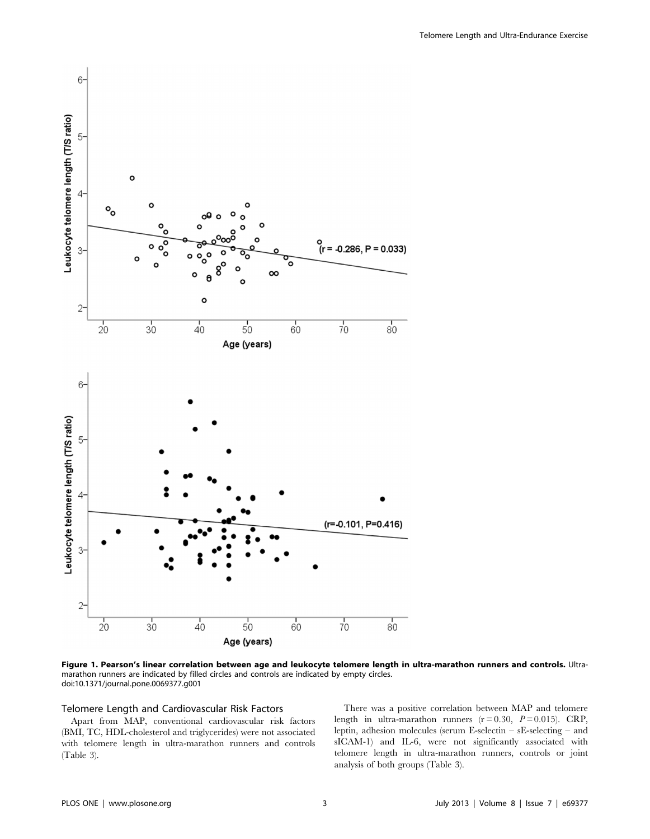



Figure 1. Pearson's linear correlation between age and leukocyte telomere length in ultra-marathon runners and controls. Ultramarathon runners are indicated by filled circles and controls are indicated by empty circles. doi:10.1371/journal.pone.0069377.g001

#### Telomere Length and Cardiovascular Risk Factors

Apart from MAP, conventional cardiovascular risk factors (BMI, TC, HDL-cholesterol and triglycerides) were not associated with telomere length in ultra-marathon runners and controls (Table 3).

There was a positive correlation between MAP and telomere length in ultra-marathon runners  $(r=0.30, P=0.015)$ . CRP, leptin, adhesion molecules (serum E-selectin – sE-selecting – and sICAM-1) and IL-6, were not significantly associated with telomere length in ultra-marathon runners, controls or joint analysis of both groups (Table 3).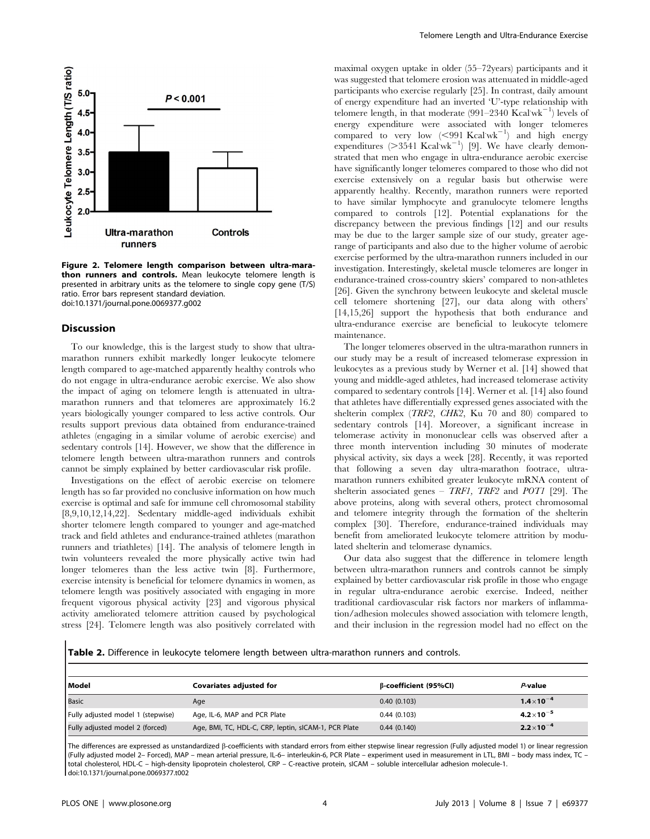

Figure 2. Telomere length comparison between ultra-marathon runners and controls. Mean leukocyte telomere length is presented in arbitrary units as the telomere to single copy gene (T/S) ratio. Error bars represent standard deviation. doi:10.1371/journal.pone.0069377.g002

#### **Discussion**

To our knowledge, this is the largest study to show that ultramarathon runners exhibit markedly longer leukocyte telomere length compared to age-matched apparently healthy controls who do not engage in ultra-endurance aerobic exercise. We also show the impact of aging on telomere length is attenuated in ultramarathon runners and that telomeres are approximately 16.2 years biologically younger compared to less active controls. Our results support previous data obtained from endurance-trained athletes (engaging in a similar volume of aerobic exercise) and sedentary controls [14]. However, we show that the difference in telomere length between ultra-marathon runners and controls cannot be simply explained by better cardiovascular risk profile.

Investigations on the effect of aerobic exercise on telomere length has so far provided no conclusive information on how much exercise is optimal and safe for immune cell chromosomal stability [8,9,10,12,14,22]. Sedentary middle-aged individuals exhibit shorter telomere length compared to younger and age-matched track and field athletes and endurance-trained athletes (marathon runners and triathletes) [14]. The analysis of telomere length in twin volunteers revealed the more physically active twin had longer telomeres than the less active twin [8]. Furthermore, exercise intensity is beneficial for telomere dynamics in women, as telomere length was positively associated with engaging in more frequent vigorous physical activity [23] and vigorous physical activity ameliorated telomere attrition caused by psychological stress [24]. Telomere length was also positively correlated with maximal oxygen uptake in older (55–72years) participants and it was suggested that telomere erosion was attenuated in middle-aged participants who exercise regularly [25]. In contrast, daily amount of energy expenditure had an inverted 'U'-type relationship with telomere length, in that moderate  $(991-2340 \text{ Kcal}^{-1})$  levels of energy expenditure were associated with longer telomeres compared to very low  $(< 991$  Kcal wk<sup>-1</sup>) and high energy expenditures  $(>3541 \text{ Kcalw}^{-1})$  [9]. We have clearly demonstrated that men who engage in ultra-endurance aerobic exercise have significantly longer telomeres compared to those who did not exercise extensively on a regular basis but otherwise were apparently healthy. Recently, marathon runners were reported to have similar lymphocyte and granulocyte telomere lengths compared to controls [12]. Potential explanations for the discrepancy between the previous findings [12] and our results may be due to the larger sample size of our study, greater agerange of participants and also due to the higher volume of aerobic exercise performed by the ultra-marathon runners included in our investigation. Interestingly, skeletal muscle telomeres are longer in endurance-trained cross-country skiers' compared to non-athletes [26]. Given the synchrony between leukocyte and skeletal muscle cell telomere shortening [27], our data along with others' [14,15,26] support the hypothesis that both endurance and ultra-endurance exercise are beneficial to leukocyte telomere maintenance.

The longer telomeres observed in the ultra-marathon runners in our study may be a result of increased telomerase expression in leukocytes as a previous study by Werner et al. [14] showed that young and middle-aged athletes, had increased telomerase activity compared to sedentary controls [14]. Werner et al. [14] also found that athletes have differentially expressed genes associated with the shelterin complex (TRF2, CHK2, Ku 70 and 80) compared to sedentary controls [14]. Moreover, a significant increase in telomerase activity in mononuclear cells was observed after a three month intervention including 30 minutes of moderate physical activity, six days a week [28]. Recently, it was reported that following a seven day ultra-marathon footrace, ultramarathon runners exhibited greater leukocyte mRNA content of shelterin associated genes – TRF1, TRF2 and POT1 [29]. The above proteins, along with several others, protect chromosomal and telomere integrity through the formation of the shelterin complex [30]. Therefore, endurance-trained individuals may benefit from ameliorated leukocyte telomere attrition by modulated shelterin and telomerase dynamics.

Our data also suggest that the difference in telomere length between ultra-marathon runners and controls cannot be simply explained by better cardiovascular risk profile in those who engage in regular ultra-endurance aerobic exercise. Indeed, neither traditional cardiovascular risk factors nor markers of inflammation/adhesion molecules showed association with telomere length, and their inclusion in the regression model had no effect on the

Table 2. Difference in leukocyte telomere length between ultra-marathon runners and controls.

| Model                             | <b>Covariates adjusted for</b>                       | β-coefficient (95%Cl) | P-value              |
|-----------------------------------|------------------------------------------------------|-----------------------|----------------------|
| Basic                             | Age                                                  | 0.40(0.103)           | $1.4 \times 10^{-4}$ |
| Fully adjusted model 1 (stepwise) | Age, IL-6, MAP and PCR Plate                         | 0.44(0.103)           | $4.2 \times 10^{-5}$ |
| Fully adjusted model 2 (forced)   | Age, BMI, TC, HDL-C, CRP, leptin, sICAM-1, PCR Plate | 0.44(0.140)           | $2.2 \times 10^{-4}$ |

The differences are expressed as unstandardized ß-coefficients with standard errors from either stepwise linear regression (Fully adjusted model 1) or linear regression (Fully adjusted model 2– Forced), MAP – mean arterial pressure, IL-6– interleukin-6, PCR Plate – experiment used in measurement in LTL, BMI – body mass index, TC – total cholesterol, HDL-C – high-density lipoprotein cholesterol, CRP – C-reactive protein, sICAM – soluble intercellular adhesion molecule-1. doi:10.1371/journal.pone.0069377.t002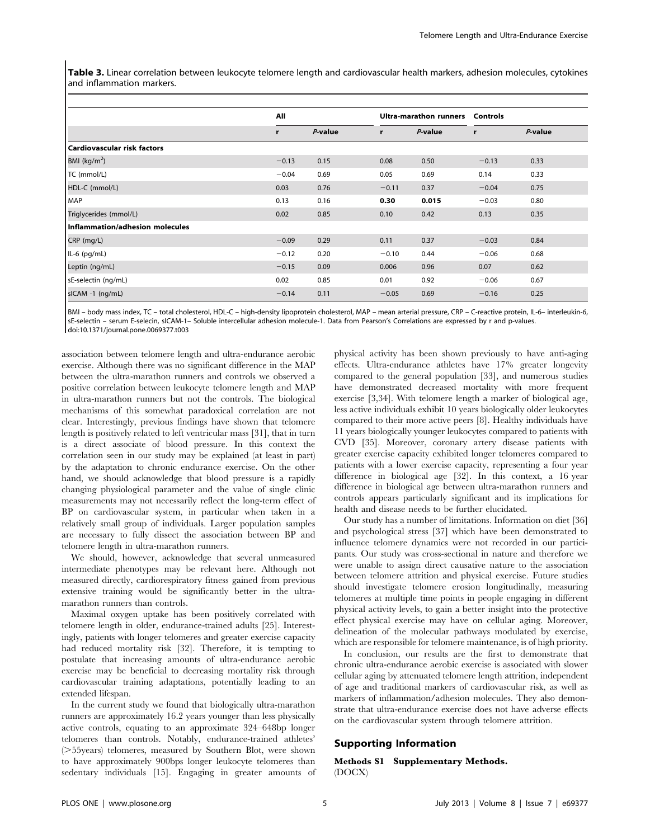Table 3. Linear correlation between leukocyte telomere length and cardiovascular health markers, adhesion molecules, cytokines and inflammation markers.

|                                 | All     |            |         | Ultra-marathon runners |         | Controls |  |
|---------------------------------|---------|------------|---------|------------------------|---------|----------|--|
|                                 | r       | $P$ -value | r       | P-value                | r       | P-value  |  |
| Cardiovascular risk factors     |         |            |         |                        |         |          |  |
| BMI ( $kg/m2$ )                 | $-0.13$ | 0.15       | 0.08    | 0.50                   | $-0.13$ | 0.33     |  |
| TC (mmol/L)                     | $-0.04$ | 0.69       | 0.05    | 0.69                   | 0.14    | 0.33     |  |
| HDL-C (mmol/L)                  | 0.03    | 0.76       | $-0.11$ | 0.37                   | $-0.04$ | 0.75     |  |
| MAP                             | 0.13    | 0.16       | 0.30    | 0.015                  | $-0.03$ | 0.80     |  |
| Triglycerides (mmol/L)          | 0.02    | 0.85       | 0.10    | 0.42                   | 0.13    | 0.35     |  |
| Inflammation/adhesion molecules |         |            |         |                        |         |          |  |
| CRP (mg/L)                      | $-0.09$ | 0.29       | 0.11    | 0.37                   | $-0.03$ | 0.84     |  |
| $IL-6$ (pg/mL)                  | $-0.12$ | 0.20       | $-0.10$ | 0.44                   | $-0.06$ | 0.68     |  |
| Leptin (ng/mL)                  | $-0.15$ | 0.09       | 0.006   | 0.96                   | 0.07    | 0.62     |  |
| sE-selectin (ng/mL)             | 0.02    | 0.85       | 0.01    | 0.92                   | $-0.06$ | 0.67     |  |
| sICAM -1 (ng/mL)                | $-0.14$ | 0.11       | $-0.05$ | 0.69                   | $-0.16$ | 0.25     |  |

BMI – body mass index, TC – total cholesterol, HDL-C – high-density lipoprotein cholesterol, MAP – mean arterial pressure, CRP – C-reactive protein, IL-6– interleukin-6, sE-selectin – serum E-selecin, sICAM-1– Soluble intercellular adhesion molecule-1. Data from Pearson's Correlations are expressed by r and p-values. doi:10.1371/journal.pone.0069377.t003

association between telomere length and ultra-endurance aerobic exercise. Although there was no significant difference in the MAP between the ultra-marathon runners and controls we observed a positive correlation between leukocyte telomere length and MAP in ultra-marathon runners but not the controls. The biological mechanisms of this somewhat paradoxical correlation are not clear. Interestingly, previous findings have shown that telomere length is positively related to left ventricular mass [31], that in turn is a direct associate of blood pressure. In this context the correlation seen in our study may be explained (at least in part) by the adaptation to chronic endurance exercise. On the other hand, we should acknowledge that blood pressure is a rapidly changing physiological parameter and the value of single clinic measurements may not necessarily reflect the long-term effect of BP on cardiovascular system, in particular when taken in a relatively small group of individuals. Larger population samples are necessary to fully dissect the association between BP and telomere length in ultra-marathon runners.

We should, however, acknowledge that several unmeasured intermediate phenotypes may be relevant here. Although not measured directly, cardiorespiratory fitness gained from previous extensive training would be significantly better in the ultramarathon runners than controls.

Maximal oxygen uptake has been positively correlated with telomere length in older, endurance-trained adults [25]. Interestingly, patients with longer telomeres and greater exercise capacity had reduced mortality risk [32]. Therefore, it is tempting to postulate that increasing amounts of ultra-endurance aerobic exercise may be beneficial to decreasing mortality risk through cardiovascular training adaptations, potentially leading to an extended lifespan.

In the current study we found that biologically ultra-marathon runners are approximately 16.2 years younger than less physically active controls, equating to an approximate 324–648bp longer telomeres than controls. Notably, endurance-trained athletes' (>55years) telomeres, measured by Southern Blot, were shown to have approximately 900bps longer leukocyte telomeres than sedentary individuals [15]. Engaging in greater amounts of physical activity has been shown previously to have anti-aging effects. Ultra-endurance athletes have 17% greater longevity compared to the general population [33], and numerous studies have demonstrated decreased mortality with more frequent exercise [3,34]. With telomere length a marker of biological age, less active individuals exhibit 10 years biologically older leukocytes compared to their more active peers [8]. Healthy individuals have 11 years biologically younger leukocytes compared to patients with CVD [35]. Moreover, coronary artery disease patients with greater exercise capacity exhibited longer telomeres compared to patients with a lower exercise capacity, representing a four year difference in biological age [32]. In this context, a 16 year difference in biological age between ultra-marathon runners and controls appears particularly significant and its implications for health and disease needs to be further elucidated.

Our study has a number of limitations. Information on diet [36] and psychological stress [37] which have been demonstrated to influence telomere dynamics were not recorded in our participants. Our study was cross-sectional in nature and therefore we were unable to assign direct causative nature to the association between telomere attrition and physical exercise. Future studies should investigate telomere erosion longitudinally, measuring telomeres at multiple time points in people engaging in different physical activity levels, to gain a better insight into the protective effect physical exercise may have on cellular aging. Moreover, delineation of the molecular pathways modulated by exercise, which are responsible for telomere maintenance, is of high priority.

In conclusion, our results are the first to demonstrate that chronic ultra-endurance aerobic exercise is associated with slower cellular aging by attenuated telomere length attrition, independent of age and traditional markers of cardiovascular risk, as well as markers of inflammation/adhesion molecules. They also demonstrate that ultra-endurance exercise does not have adverse effects on the cardiovascular system through telomere attrition.

#### Supporting Information

#### Methods S1 Supplementary Methods. (DOCX)